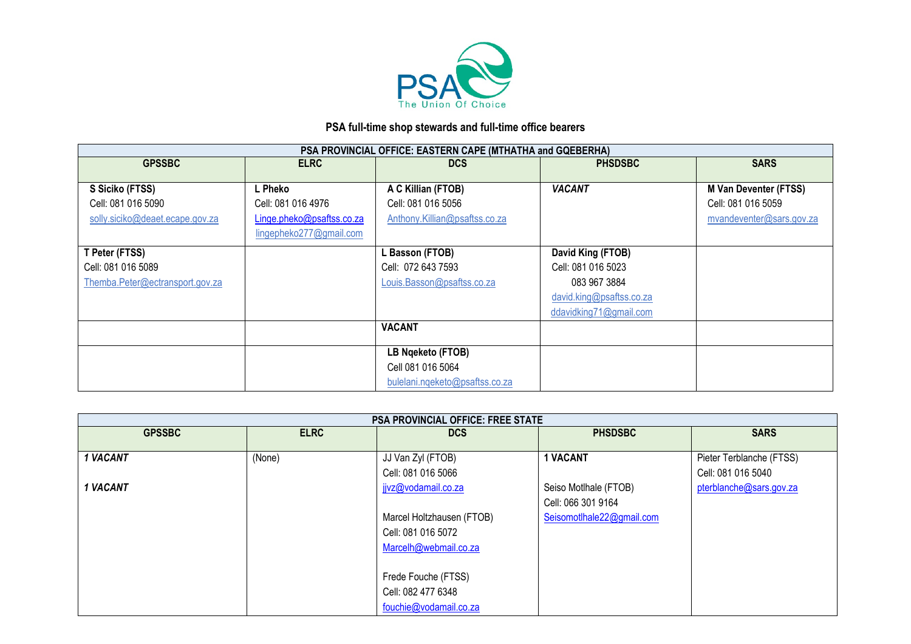

## **PSA full-time shop stewards and full-time office bearers**

| PSA PROVINCIAL OFFICE: EASTERN CAPE (MTHATHA and GQEBERHA) |                           |                                |                          |                              |  |
|------------------------------------------------------------|---------------------------|--------------------------------|--------------------------|------------------------------|--|
| <b>GPSSBC</b>                                              | <b>ELRC</b>               | <b>DCS</b>                     | <b>PHSDSBC</b>           | <b>SARS</b>                  |  |
|                                                            |                           |                                |                          |                              |  |
| S Siciko (FTSS)                                            | L Pheko                   | A C Killian (FTOB)             | <b>VACANT</b>            | <b>M Van Deventer (FTSS)</b> |  |
| Cell: 081 016 5090                                         | Cell: 081 016 4976        | Cell: 081 016 5056             |                          | Cell: 081 016 5059           |  |
| solly.siciko@deaet.ecape.gov.za                            | Linge.pheko@psaftss.co.za | Anthony.Killian@psaftss.co.za  |                          | mvandeventer@sars.gov.za     |  |
|                                                            | lingepheko277@gmail.com   |                                |                          |                              |  |
| T Peter (FTSS)                                             |                           | <b>Basson (FTOB)</b>           | David King (FTOB)        |                              |  |
| Cell: 081 016 5089                                         |                           | Cell: 072 643 7593             | Cell: 081 016 5023       |                              |  |
| Themba.Peter@ectransport.gov.za                            |                           | Louis.Basson@psaftss.co.za     | 083 967 3884             |                              |  |
|                                                            |                           |                                | david.king@psaftss.co.za |                              |  |
|                                                            |                           |                                | ddavidking71@gmail.com   |                              |  |
|                                                            |                           | <b>VACANT</b>                  |                          |                              |  |
|                                                            |                           |                                |                          |                              |  |
|                                                            |                           | LB Ngeketo (FTOB)              |                          |                              |  |
|                                                            |                           | Cell 081 016 5064              |                          |                              |  |
|                                                            |                           | bulelani.nqeketo@psaftss.co.za |                          |                              |  |

|               | <b>PSA PROVINCIAL OFFICE: FREE STATE</b> |                           |                           |                          |  |  |
|---------------|------------------------------------------|---------------------------|---------------------------|--------------------------|--|--|
| <b>GPSSBC</b> | <b>ELRC</b>                              | <b>DCS</b>                | <b>PHSDSBC</b>            | <b>SARS</b>              |  |  |
|               |                                          |                           |                           |                          |  |  |
| 1 VACANT      | (None)                                   | JJ Van Zyl (FTOB)         | <b>1 VACANT</b>           | Pieter Terblanche (FTSS) |  |  |
|               |                                          | Cell: 081 016 5066        |                           | Cell: 081 016 5040       |  |  |
| 1 VACANT      |                                          | jivz@vodamail.co.za       | Seiso Motlhale (FTOB)     | pterblanche@sars.gov.za  |  |  |
|               |                                          |                           | Cell: 066 301 9164        |                          |  |  |
|               |                                          | Marcel Holtzhausen (FTOB) | Seisomotlhale22@gmail.com |                          |  |  |
|               |                                          | Cell: 081 016 5072        |                           |                          |  |  |
|               |                                          | Marcelh@webmail.co.za     |                           |                          |  |  |
|               |                                          |                           |                           |                          |  |  |
|               |                                          | Frede Fouche (FTSS)       |                           |                          |  |  |
|               |                                          | Cell: 082 477 6348        |                           |                          |  |  |
|               |                                          | fouchie@vodamail.co.za    |                           |                          |  |  |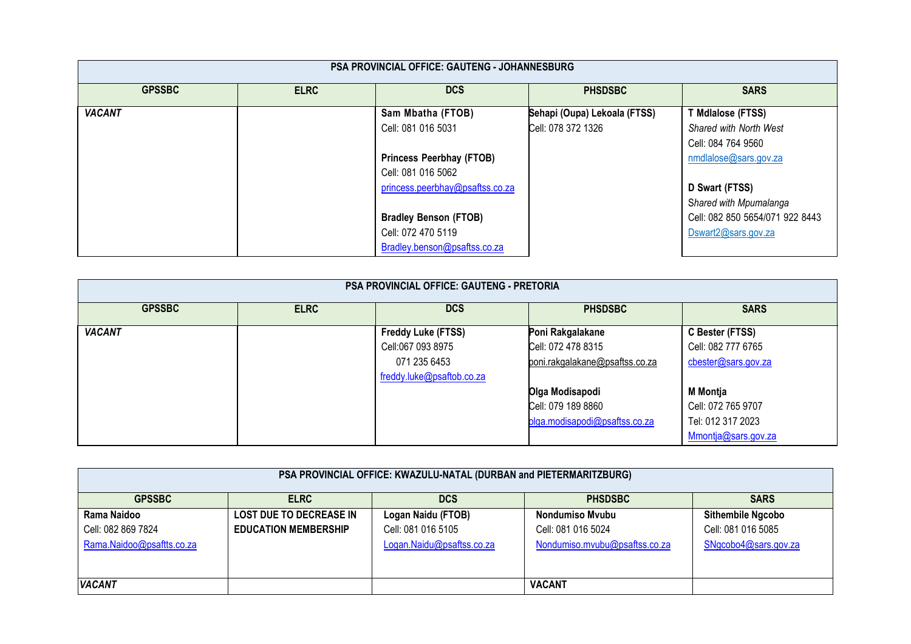| <b>PSA PROVINCIAL OFFICE: GAUTENG - JOHANNESBURG</b> |             |                                 |                              |                                 |  |
|------------------------------------------------------|-------------|---------------------------------|------------------------------|---------------------------------|--|
| <b>GPSSBC</b>                                        | <b>ELRC</b> | <b>DCS</b>                      | <b>PHSDSBC</b>               | <b>SARS</b>                     |  |
| <b>VACANT</b>                                        |             | Sam Mbatha (FTOB)               | Sehapi (Oupa) Lekoala (FTSS) | T Mdlalose (FTSS)               |  |
|                                                      |             | Cell: 081 016 5031              | Cell: 078 372 1326           | Shared with North West          |  |
|                                                      |             |                                 |                              | Cell: 084 764 9560              |  |
|                                                      |             | <b>Princess Peerbhay (FTOB)</b> |                              | nmdlalose@sars.gov.za           |  |
|                                                      |             | Cell: 081 016 5062              |                              |                                 |  |
|                                                      |             | princess.peerbhay@psaftss.co.za |                              | D Swart (FTSS)                  |  |
|                                                      |             |                                 |                              | Shared with Mpumalanga          |  |
|                                                      |             | <b>Bradley Benson (FTOB)</b>    |                              | Cell: 082 850 5654/071 922 8443 |  |
|                                                      |             | Cell: 072 470 5119              |                              | Dswart2@sars.gov.za             |  |
|                                                      |             | Bradley.benson@psaftss.co.za    |                              |                                 |  |

| <b>PSA PROVINCIAL OFFICE: GAUTENG - PRETORIA</b> |             |                           |                                |                     |  |
|--------------------------------------------------|-------------|---------------------------|--------------------------------|---------------------|--|
| <b>GPSSBC</b>                                    | <b>ELRC</b> | <b>DCS</b>                | <b>PHSDSBC</b>                 | <b>SARS</b>         |  |
| <b>VACANT</b>                                    |             | Freddy Luke (FTSS)        | Poni Rakgalakane               | C Bester (FTSS)     |  |
|                                                  |             | Cell:067 093 8975         | Cell: 072 478 8315             | Cell: 082 777 6765  |  |
|                                                  |             | 071 235 6453              | poni.rakgalakane@psaftss.co.za | cbester@sars.gov.za |  |
|                                                  |             | freddy.luke@psaftob.co.za |                                |                     |  |
|                                                  |             |                           | Olga Modisapodi                | <b>M</b> Montja     |  |
|                                                  |             |                           | Cell: 079 189 8860             | Cell: 072 765 9707  |  |
|                                                  |             |                           | olga.modisapodi@psaftss.co.za  | Tel: 012 317 2023   |  |
|                                                  |             |                           |                                | Mmontja@sars.gov.za |  |

| PSA PROVINCIAL OFFICE: KWAZULU-NATAL (DURBAN and PIETERMARITZBURG) |                                |                           |                               |                          |  |
|--------------------------------------------------------------------|--------------------------------|---------------------------|-------------------------------|--------------------------|--|
| <b>GPSSBC</b>                                                      | <b>ELRC</b>                    | <b>DCS</b>                | <b>PHSDSBC</b>                | <b>SARS</b>              |  |
| Rama Naidoo                                                        | <b>LOST DUE TO DECREASE IN</b> | Logan Naidu (FTOB)        | Nondumiso Myubu               | <b>Sithembile Ngcobo</b> |  |
| Cell: 082 869 7824                                                 | <b>EDUCATION MEMBERSHIP</b>    | Cell: 081 016 5105        | Cell: 081 016 5024            | Cell: 081 016 5085       |  |
| Rama.Naidoo@psaftts.co.za                                          |                                | Logan.Naidu@psaftss.co.za | Nondumiso.mvubu@psaftss.co.za | SNgcobo4@sars.gov.za     |  |
|                                                                    |                                |                           |                               |                          |  |
|                                                                    |                                |                           |                               |                          |  |
| <b>VACANT</b>                                                      |                                |                           | <b>VACANT</b>                 |                          |  |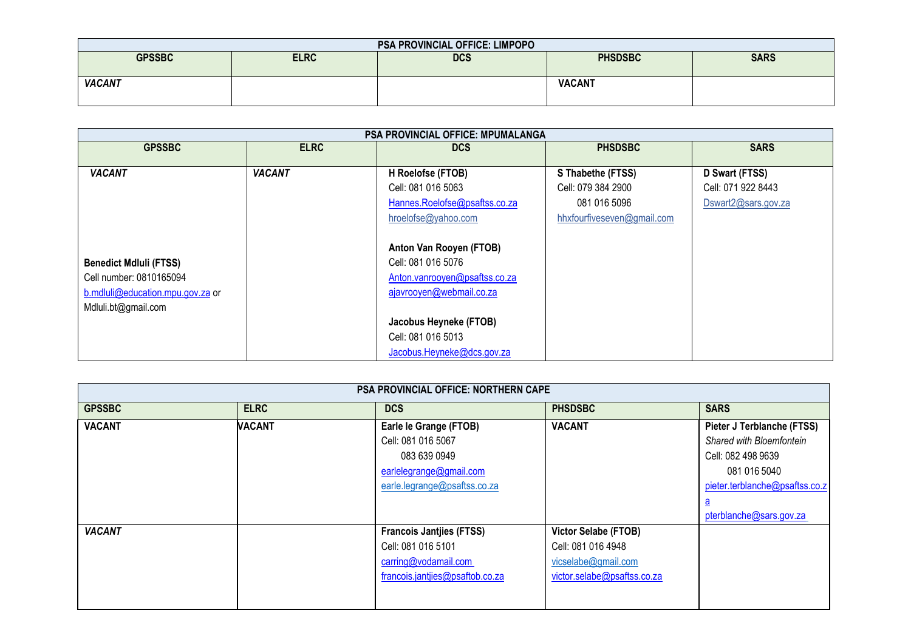| <b>PSA PROVINCIAL OFFICE: LIMPOPO</b> |             |            |                |             |  |
|---------------------------------------|-------------|------------|----------------|-------------|--|
| <b>GPSSBC</b>                         | <b>ELRC</b> | <b>DCS</b> | <b>PHSDSBC</b> | <b>SARS</b> |  |
|                                       |             |            |                |             |  |
| <b>VACANT</b>                         |             |            | <b>VACANT</b>  |             |  |
|                                       |             |            |                |             |  |

| <b>PSA PROVINCIAL OFFICE: MPUMALANGA</b> |               |                               |                            |                     |  |
|------------------------------------------|---------------|-------------------------------|----------------------------|---------------------|--|
| <b>GPSSBC</b>                            | <b>ELRC</b>   | <b>DCS</b>                    | <b>PHSDSBC</b>             | <b>SARS</b>         |  |
|                                          |               |                               |                            |                     |  |
| <b>VACANT</b>                            | <b>VACANT</b> | H Roelofse (FTOB)             | S Thabethe (FTSS)          | D Swart (FTSS)      |  |
|                                          |               | Cell: 081 016 5063            | Cell: 079 384 2900         | Cell: 071 922 8443  |  |
|                                          |               | Hannes.Roelofse@psaftss.co.za | 081 016 5096               | Dswart2@sars.gov.za |  |
|                                          |               | hroelofse@yahoo.com           | hhxfourfiveseven@gmail.com |                     |  |
|                                          |               | Anton Van Rooyen (FTOB)       |                            |                     |  |
| <b>Benedict Mdluli (FTSS)</b>            |               | Cell: 081 016 5076            |                            |                     |  |
| Cell number: 0810165094                  |               | Anton.vanrooyen@psaftss.co.za |                            |                     |  |
| b.mdluli@education.mpu.gov.za or         |               | ajavrooyen@webmail.co.za      |                            |                     |  |
| Mdluli.bt@gmail.com                      |               |                               |                            |                     |  |
|                                          |               | Jacobus Heyneke (FTOB)        |                            |                     |  |
|                                          |               | Cell: 081 016 5013            |                            |                     |  |
|                                          |               | Jacobus.Heyneke@dcs.gov.za    |                            |                     |  |

| <b>PSA PROVINCIAL OFFICE: NORTHERN CAPE</b> |               |                                                                                                                         |                                                                                                         |                                                                                                                                                                       |  |
|---------------------------------------------|---------------|-------------------------------------------------------------------------------------------------------------------------|---------------------------------------------------------------------------------------------------------|-----------------------------------------------------------------------------------------------------------------------------------------------------------------------|--|
| <b>GPSSBC</b>                               | <b>ELRC</b>   | <b>DCS</b>                                                                                                              | <b>PHSDSBC</b>                                                                                          | <b>SARS</b>                                                                                                                                                           |  |
| <b>VACANT</b>                               | <b>VACANT</b> | Earle le Grange (FTOB)<br>Cell: 081 016 5067<br>083 639 0949<br>earlelegrange@gmail.com<br>earle.legrange@psaftss.co.za | <b>VACANT</b>                                                                                           | Pieter J Terblanche (FTSS)<br>Shared with Bloemfontein<br>Cell: 082 498 9639<br>081 016 5040<br>pieter.terblanche@psaftss.co.z<br><u>a</u><br>pterblanche@sars.gov.za |  |
| <b>VACANT</b>                               |               | <b>Francois Jantjies (FTSS)</b><br>Cell: 081 016 5101<br>carring@vodamail.com<br>francois.jantjies@psaftob.co.za        | <b>Victor Selabe (FTOB)</b><br>Cell: 081 016 4948<br>vicselabe@gmail.com<br>victor.selabe@psaftss.co.za |                                                                                                                                                                       |  |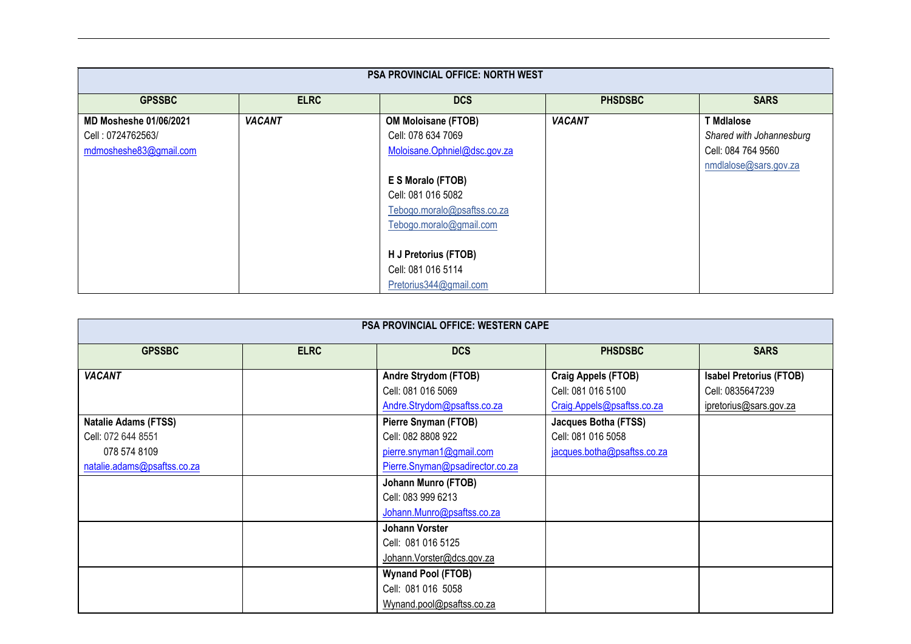| <b>PSA PROVINCIAL OFFICE: NORTH WEST</b> |               |                              |                |                          |  |
|------------------------------------------|---------------|------------------------------|----------------|--------------------------|--|
| <b>GPSSBC</b>                            | <b>ELRC</b>   | <b>DCS</b>                   | <b>PHSDSBC</b> | <b>SARS</b>              |  |
| <b>MD Mosheshe 01/06/2021</b>            | <b>VACANT</b> | <b>OM Moloisane (FTOB)</b>   | <b>VACANT</b>  | <b>T</b> Mdlalose        |  |
| Cell: 0724762563/                        |               | Cell: 078 634 7069           |                | Shared with Johannesburg |  |
| mdmosheshe83@gmail.com                   |               | Moloisane.Ophniel@dsc.gov.za |                | Cell: 084 764 9560       |  |
|                                          |               |                              |                | nmdlalose@sars.gov.za    |  |
|                                          |               | E S Moralo (FTOB)            |                |                          |  |
|                                          |               | Cell: 081 016 5082           |                |                          |  |
|                                          |               | Tebogo.moralo@psaftss.co.za  |                |                          |  |
|                                          |               | Tebogo.moralo@gmail.com      |                |                          |  |
|                                          |               |                              |                |                          |  |
|                                          |               | H J Pretorius (FTOB)         |                |                          |  |
|                                          |               | Cell: 081 016 5114           |                |                          |  |
|                                          |               | Pretorius344@gmail.com       |                |                          |  |

| <b>PSA PROVINCIAL OFFICE: WESTERN CAPE</b> |             |                                 |                             |                                |
|--------------------------------------------|-------------|---------------------------------|-----------------------------|--------------------------------|
| <b>GPSSBC</b>                              | <b>ELRC</b> | <b>DCS</b>                      | <b>PHSDSBC</b>              | <b>SARS</b>                    |
| <b>VACANT</b>                              |             | Andre Strydom (FTOB)            | Craig Appels (FTOB)         | <b>Isabel Pretorius (FTOB)</b> |
|                                            |             | Cell: 081 016 5069              | Cell: 081 016 5100          | Cell: 0835647239               |
|                                            |             | Andre.Strydom@psaftss.co.za     | Craig.Appels@psaftss.co.za  | ipretorius@sars.gov.za         |
| <b>Natalie Adams (FTSS)</b>                |             | Pierre Snyman (FTOB)            | Jacques Botha (FTSS)        |                                |
| Cell: 072 644 8551                         |             | Cell: 082 8808 922              | Cell: 081 016 5058          |                                |
| 078 574 8109                               |             | pierre.snyman1@gmail.com        | jacques.botha@psaftss.co.za |                                |
| natalie.adams@psaftss.co.za                |             | Pierre.Snyman@psadirector.co.za |                             |                                |
|                                            |             | <b>Johann Munro (FTOB)</b>      |                             |                                |
|                                            |             | Cell: 083 999 6213              |                             |                                |
|                                            |             | Johann.Munro@psaftss.co.za      |                             |                                |
|                                            |             | Johann Vorster                  |                             |                                |
|                                            |             | Cell: 081 016 5125              |                             |                                |
|                                            |             | Johann.Vorster@dcs.gov.za       |                             |                                |
|                                            |             | <b>Wynand Pool (FTOB)</b>       |                             |                                |
|                                            |             | Cell: 081 016 5058              |                             |                                |
|                                            |             | Wynand.pool@psaftss.co.za       |                             |                                |